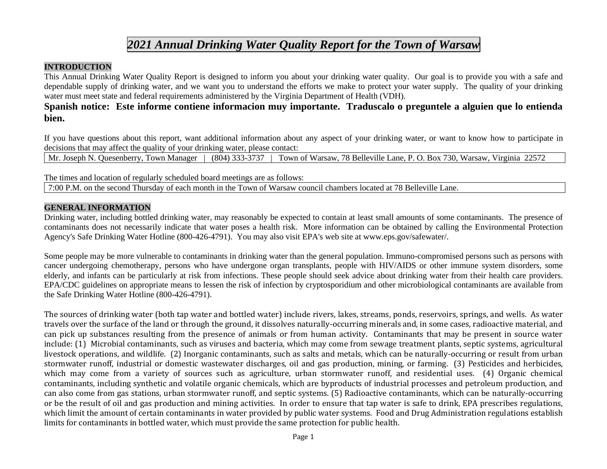# *2021 Annual Drinking Water Quality Report for the Town of Warsaw*

## **INTRODUCTION**

This Annual Drinking Water Quality Report is designed to inform you about your drinking water quality. Our goal is to provide you with a safe and dependable supply of drinking water, and we want you to understand the efforts we make to protect your water supply. The quality of your drinking water must meet state and federal requirements administered by the Virginia Department of Health (VDH).

## **Spanish notice: Este informe contiene informacion muy importante. Traduscalo o preguntele a alguien que lo entienda bien.**

If you have questions about this report, want additional information about any aspect of your drinking water, or want to know how to participate in decisions that may affect the quality of your drinking water, please contact:

Mr. Joseph N. Quesenberry, Town Manager | (804) 333-3737 | Town of Warsaw, 78 Belleville Lane, P. O. Box 730, Warsaw, Virginia 22572

The times and location of regularly scheduled board meetings are as follows:

7:00 P.M. on the second Thursday of each month in the Town of Warsaw council chambers located at 78 Belleville Lane.

## **GENERAL INFORMATION**

Drinking water, including bottled drinking water, may reasonably be expected to contain at least small amounts of some contaminants. The presence of contaminants does not necessarily indicate that water poses a health risk. More information can be obtained by calling the Environmental Protection Agency's Safe Drinking Water Hotline (800-426-4791). You may also visit EPA's web site at www.eps.gov/safewater/.

Some people may be more vulnerable to contaminants in drinking water than the general population. Immuno-compromised persons such as persons with cancer undergoing chemotherapy, persons who have undergone organ transplants, people with HIV/AIDS or other immune system disorders, some elderly, and infants can be particularly at risk from infections. These people should seek advice about drinking water from their health care providers. EPA/CDC guidelines on appropriate means to lessen the risk of infection by cryptosporidium and other microbiological contaminants are available from the Safe Drinking Water Hotline (800-426-4791).

The sources of drinking water (both tap water and bottled water) include rivers, lakes, streams, ponds, reservoirs, springs, and wells. As water travels over the surface of the land or through the ground, it dissolves naturally-occurring minerals and, in some cases, radioactive material, and can pick up substances resulting from the presence of animals or from human activity. Contaminants that may be present in source water include: (1) Microbial contaminants, such as viruses and bacteria, which may come from sewage treatment plants, septic systems, agricultural livestock operations, and wildlife. (2) Inorganic contaminants, such as salts and metals, which can be naturally-occurring or result from urban stormwater runoff, industrial or domestic wastewater discharges, oil and gas production, mining, or farming. (3) Pesticides and herbicides, which may come from a variety of sources such as agriculture, urban stormwater runoff, and residential uses. (4) Organic chemical contaminants, including synthetic and volatile organic chemicals, which are byproducts of industrial processes and petroleum production, and can also come from gas stations, urban stormwater runoff, and septic systems. (5) Radioactive contaminants, which can be naturally-occurring or be the result of oil and gas production and mining activities. In order to ensure that tap water is safe to drink, EPA prescribes regulations, which limit the amount of certain contaminants in water provided by public water systems. Food and Drug Administration regulations establish limits for contaminants in bottled water, which must provide the same protection for public health.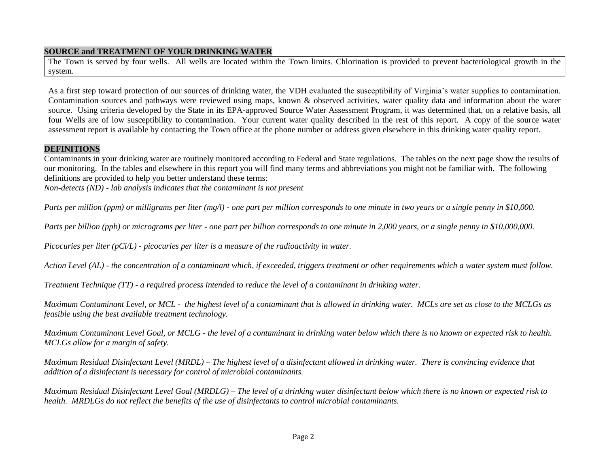## **SOURCE and TREATMENT OF YOUR DRINKING WATER**

The Town is served by four wells. All wells are located within the Town limits. Chlorination is provided to prevent bacteriological growth in the system.

As a first step toward protection of our sources of drinking water, the VDH evaluated the susceptibility of Virginia's water supplies to contamination. Contamination sources and pathways were reviewed using maps, known & observed activities, water quality data and information about the water source. Using criteria developed by the State in its EPA-approved Source Water Assessment Program, it was determined that, on a relative basis, all four Wells are of low susceptibility to contamination. Your current water quality described in the rest of this report. A copy of the source water assessment report is available by contacting the Town office at the phone number or address given elsewhere in this drinking water quality report.

## **DEFINITIONS**

Contaminants in your drinking water are routinely monitored according to Federal and State regulations. The tables on the next page show the results of our monitoring. In the tables and elsewhere in this report you will find many terms and abbreviations you might not be familiar with. The following definitions are provided to help you better understand these terms:

*Non-detects (ND) - lab analysis indicates that the contaminant is not present*

*Parts per million (ppm) or milligrams per liter (mg/l) - one part per million corresponds to one minute in two years or a single penny in \$10,000.*

*Parts per billion (ppb) or micrograms per liter - one part per billion corresponds to one minute in 2,000 years, or a single penny in \$10,000,000.* 

*Picocuries per liter (pCi/L) - picocuries per liter is a measure of the radioactivity in water.*

*Action Level (AL) - the concentration of a contaminant which, if exceeded, triggers treatment or other requirements which a water system must follow.*

*Treatment Technique (TT) - a required process intended to reduce the level of a contaminant in drinking water.*

*Maximum Contaminant Level, or MCL - the highest level of a contaminant that is allowed in drinking water. MCLs are set as close to the MCLGs as feasible using the best available treatment technology.*

*Maximum Contaminant Level Goal, or MCLG - the level of a contaminant in drinking water below which there is no known or expected risk to health. MCLGs allow for a margin of safety.*

*Maximum Residual Disinfectant Level (MRDL) – The highest level of a disinfectant allowed in drinking water. There is convincing evidence that addition of a disinfectant is necessary for control of microbial contaminants.* 

*Maximum Residual Disinfectant Level Goal (MRDLG) – The level of a drinking water disinfectant below which there is no known or expected risk to health. MRDLGs do not reflect the benefits of the use of disinfectants to control microbial contaminants.*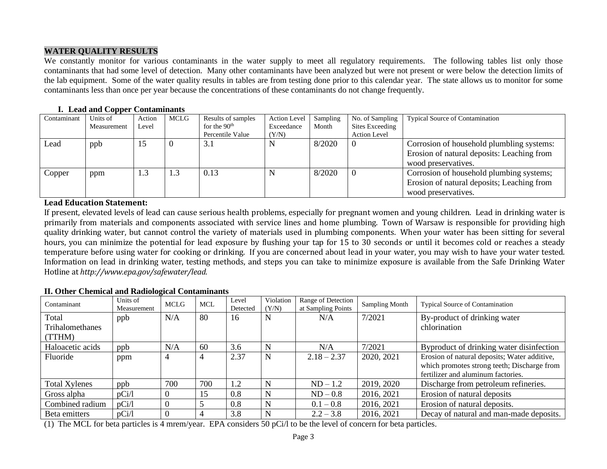## **WATER QUALITY RESULTS**

We constantly monitor for various contaminants in the water supply to meet all regulatory requirements. The following tables list only those contaminants that had some level of detection. Many other contaminants have been analyzed but were not present or were below the detection limits of the lab equipment. Some of the water quality results in tables are from testing done prior to this calendar year. The state allows us to monitor for some contaminants less than once per year because the concentrations of these contaminants do not change frequently.

| Contaminant | Units of<br>Measurement | Action<br>Level | <b>MCLG</b> | Results of samples<br>for the $90th$<br>Percentile Value | <b>Action Level</b><br>Exceedance<br>(Y/N) | Sampling<br>Month | No. of Sampling<br><b>Sites Exceeding</b><br><b>Action Level</b> | <b>Typical Source of Contamination</b>                                                                         |
|-------------|-------------------------|-----------------|-------------|----------------------------------------------------------|--------------------------------------------|-------------------|------------------------------------------------------------------|----------------------------------------------------------------------------------------------------------------|
| Lead        | ppb                     | 15              |             | 3.1                                                      |                                            | 8/2020            | -0                                                               | Corrosion of household plumbling systems:<br>Erosion of natural deposits: Leaching from<br>wood preservatives. |
| Copper      | ppm                     | 1.3             | 1.3         | 0.13                                                     |                                            | 8/2020            |                                                                  | Corrosion of household plumbing systems;<br>Erosion of natural deposits; Leaching from<br>wood preservatives.  |

#### **I. Lead and Copper Contaminants**

## **Lead Education Statement:**

If present, elevated levels of lead can cause serious health problems, especially for pregnant women and young children. Lead in drinking water is primarily from materials and components associated with service lines and home plumbing. Town of Warsaw is responsible for providing high quality drinking water, but cannot control the variety of materials used in plumbing components. When your water has been sitting for several hours, you can minimize the potential for lead exposure by flushing your tap for 15 to 30 seconds or until it becomes cold or reaches a steady temperature before using water for cooking or drinking. If you are concerned about lead in your water, you may wish to have your water tested. Information on lead in drinking water, testing methods, and steps you can take to minimize exposure is available from the Safe Drinking Water Hotline at *http://www.epa.gov/safewater/lead.*

## **II. Other Chemical and Radiological Contaminants**

| Contaminant          | Units of<br>Measurement | <b>MCLG</b> | <b>MCL</b> | Level<br>Detected | Violation<br>(Y/N) | Range of Detection<br>at Sampling Points | <b>Sampling Month</b> | <b>Typical Source of Contamination</b>       |
|----------------------|-------------------------|-------------|------------|-------------------|--------------------|------------------------------------------|-----------------------|----------------------------------------------|
| Total                | ppb                     | N/A         | 80         | 16                | N                  | N/A                                      | 7/2021                | By-product of drinking water                 |
| Trihalomethanes      |                         |             |            |                   |                    |                                          |                       | chlorination                                 |
| (TTHM)               |                         |             |            |                   |                    |                                          |                       |                                              |
| Haloacetic acids     | ppb                     | N/A         | 60         | 3.6               | N                  | N/A                                      | 7/2021                | Byproduct of drinking water disinfection     |
| Fluoride             | ppm                     |             | 4          | 2.37              | N                  | $2.18 - 2.37$                            | 2020, 2021            | Erosion of natural deposits; Water additive, |
|                      |                         |             |            |                   |                    |                                          |                       | which promotes strong teeth; Discharge from  |
|                      |                         |             |            |                   |                    |                                          |                       | fertilizer and aluminum factories.           |
| <b>Total Xylenes</b> | ppb                     | 700         | 700        | 1.2               | N                  | $ND - 1.2$                               | 2019, 2020            | Discharge from petroleum refineries.         |
| Gross alpha          | pCi/1                   |             | 15         | 0.8               | N                  | $ND-0.8$                                 | 2016, 2021            | Erosion of natural deposits                  |
| Combined radium      | pCi/1                   |             |            | 0.8               | N                  | $0.1 - 0.8$                              | 2016, 2021            | Erosion of natural deposits.                 |
| Beta emitters        | pCi/1                   |             |            | 3.8               | N                  | $2.2 - 3.8$                              | 2016, 2021            | Decay of natural and man-made deposits.      |

(1) The MCL for beta particles is 4 mrem/year. EPA considers 50 pCi/l to be the level of concern for beta particles.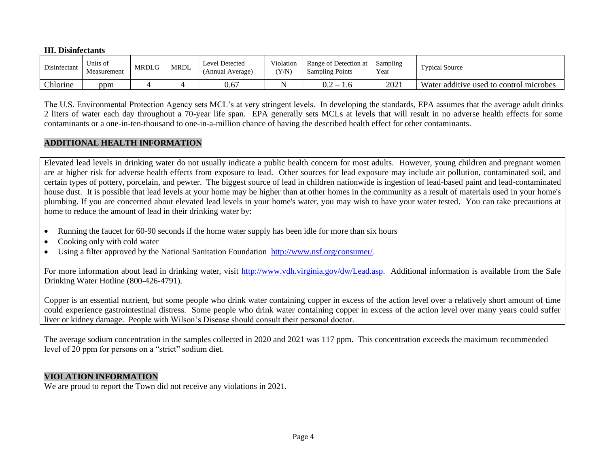**III. Disinfectants** 

| Disinfectant    | Units of<br>Measurement | MRDLC | <b>MRDL</b> | 1 Detected<br>Level<br>(Annual Average) | Violation<br>Y/N) | Range of Detection at<br><b>Sampling Points</b> | Sampling<br>Year | $\sim$<br>l'vpical Source               |
|-----------------|-------------------------|-------|-------------|-----------------------------------------|-------------------|-------------------------------------------------|------------------|-----------------------------------------|
| <b>Chlorine</b> | ppm                     |       |             | 0.67                                    |                   | ∪.∠                                             | 2021             | Water additive used to control microbes |

The U.S. Environmental Protection Agency sets MCL's at very stringent levels. In developing the standards, EPA assumes that the average adult drinks 2 liters of water each day throughout a 70-year life span. EPA generally sets MCLs at levels that will result in no adverse health effects for some contaminants or a one-in-ten-thousand to one-in-a-million chance of having the described health effect for other contaminants.

## **ADDITIONAL HEALTH INFORMATION**

Elevated lead levels in drinking water do not usually indicate a public health concern for most adults. However, young children and pregnant women are at higher risk for adverse health effects from exposure to lead. Other sources for lead exposure may include air pollution, contaminated soil, and certain types of pottery, porcelain, and pewter. The biggest source of lead in children nationwide is ingestion of lead-based paint and lead-contaminated house dust. It is possible that lead levels at your home may be higher than at other homes in the community as a result of materials used in your home's plumbing. If you are concerned about elevated lead levels in your home's water, you may wish to have your water tested. You can take precautions at home to reduce the amount of lead in their drinking water by:

- Running the faucet for 60-90 seconds if the home water supply has been idle for more than six hours
- Cooking only with cold water
- Using a filter approved by the National Sanitation Foundation [http://www.nsf.org/consumer/.](http://www.nsf.org/consumer/)

For more information about lead in drinking water, visit [http://www.vdh.virginia.gov/dw/Lead.asp.](http://www.vdh.virginia.gov/dw/Lead.asp) Additional information is available from the Safe Drinking Water Hotline (800-426-4791).

Copper is an essential nutrient, but some people who drink water containing copper in excess of the action level over a relatively short amount of time could experience gastrointestinal distress. Some people who drink water containing copper in excess of the action level over many years could suffer liver or kidney damage. People with Wilson's Disease should consult their personal doctor.

The average sodium concentration in the samples collected in 2020 and 2021 was 117 ppm. This concentration exceeds the maximum recommended level of 20 ppm for persons on a "strict" sodium diet.

## **VIOLATION INFORMATION**

We are proud to report the Town did not receive any violations in 2021.